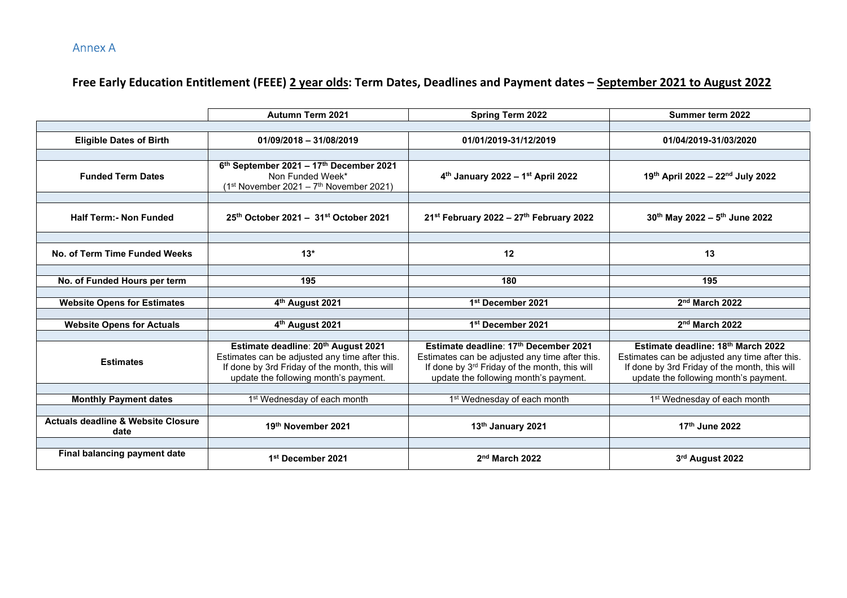Annex A

## **Free Early Education Entitlement (FEEE) 2 year olds: Term Dates, Deadlines and Payment dates – September 2021 to August 2022**

|                                                       | <b>Autumn Term 2021</b>                                                                                                                                                         | <b>Spring Term 2022</b>                                                                                                                                                           | Summer term 2022                                                                                                                                                               |
|-------------------------------------------------------|---------------------------------------------------------------------------------------------------------------------------------------------------------------------------------|-----------------------------------------------------------------------------------------------------------------------------------------------------------------------------------|--------------------------------------------------------------------------------------------------------------------------------------------------------------------------------|
|                                                       |                                                                                                                                                                                 |                                                                                                                                                                                   |                                                                                                                                                                                |
| <b>Eligible Dates of Birth</b>                        | $01/09/2018 - 31/08/2019$                                                                                                                                                       | 01/01/2019-31/12/2019                                                                                                                                                             | 01/04/2019-31/03/2020                                                                                                                                                          |
|                                                       |                                                                                                                                                                                 |                                                                                                                                                                                   |                                                                                                                                                                                |
| <b>Funded Term Dates</b>                              | $6th$ September 2021 – 17 <sup>th</sup> December 2021<br>Non Funded Week*<br>$(1st November 2021 – 7th November 2021)$                                                          | 4th January 2022 - 1st April 2022                                                                                                                                                 | 19th April 2022 - 22nd July 2022                                                                                                                                               |
|                                                       |                                                                                                                                                                                 |                                                                                                                                                                                   |                                                                                                                                                                                |
| <b>Half Term: - Non Funded</b>                        | $25th$ October 2021 - $31st$ October 2021                                                                                                                                       | 21 <sup>st</sup> February 2022 - 27 <sup>th</sup> February 2022                                                                                                                   | 30th May 2022 - 5th June 2022                                                                                                                                                  |
|                                                       |                                                                                                                                                                                 |                                                                                                                                                                                   |                                                                                                                                                                                |
| No. of Term Time Funded Weeks                         | $13*$                                                                                                                                                                           | 12                                                                                                                                                                                | 13                                                                                                                                                                             |
|                                                       |                                                                                                                                                                                 |                                                                                                                                                                                   |                                                                                                                                                                                |
| No. of Funded Hours per term                          | 195                                                                                                                                                                             | 180                                                                                                                                                                               | 195                                                                                                                                                                            |
|                                                       |                                                                                                                                                                                 |                                                                                                                                                                                   |                                                                                                                                                                                |
| <b>Website Opens for Estimates</b>                    | 4 <sup>th</sup> August 2021                                                                                                                                                     | 1st December 2021                                                                                                                                                                 | $2nd$ March 2022                                                                                                                                                               |
|                                                       |                                                                                                                                                                                 |                                                                                                                                                                                   |                                                                                                                                                                                |
| <b>Website Opens for Actuals</b>                      | 4th August 2021                                                                                                                                                                 | 1st December 2021                                                                                                                                                                 | 2 <sup>nd</sup> March 2022                                                                                                                                                     |
|                                                       |                                                                                                                                                                                 |                                                                                                                                                                                   |                                                                                                                                                                                |
| <b>Estimates</b>                                      | Estimate deadline: 20th August 2021<br>Estimates can be adjusted any time after this.<br>If done by 3rd Friday of the month, this will<br>update the following month's payment. | Estimate deadline: 17th December 2021<br>Estimates can be adjusted any time after this.<br>If done by 3rd Friday of the month, this will<br>update the following month's payment. | Estimate deadline: 18th March 2022<br>Estimates can be adjusted any time after this.<br>If done by 3rd Friday of the month, this will<br>update the following month's payment. |
|                                                       |                                                                                                                                                                                 |                                                                                                                                                                                   |                                                                                                                                                                                |
| <b>Monthly Payment dates</b>                          | 1 <sup>st</sup> Wednesday of each month                                                                                                                                         | 1 <sup>st</sup> Wednesday of each month                                                                                                                                           | 1 <sup>st</sup> Wednesday of each month                                                                                                                                        |
|                                                       |                                                                                                                                                                                 |                                                                                                                                                                                   |                                                                                                                                                                                |
| <b>Actuals deadline &amp; Website Closure</b><br>date | 19th November 2021                                                                                                                                                              | 13th January 2021                                                                                                                                                                 | 17th June 2022                                                                                                                                                                 |
|                                                       |                                                                                                                                                                                 |                                                                                                                                                                                   |                                                                                                                                                                                |
| Final balancing payment date                          | 1 <sup>st</sup> December 2021                                                                                                                                                   | 2 <sup>nd</sup> March 2022                                                                                                                                                        | 3rd August 2022                                                                                                                                                                |